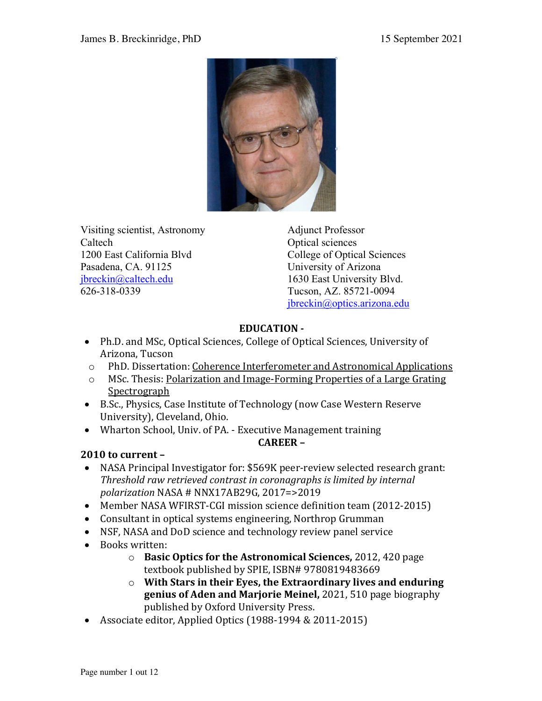

Visiting scientist, Astronomy Caltech 1200 East California Blvd Pasadena, CA. 91125 jbreckin@caltech.edu 626-318-0339

Adjunct Professor Optical sciences College of Optical Sciences University of Arizona 1630 East University Blvd. Tucson, AZ. 85721-0094 jbreckin@optics.arizona.edu

# **EDUCATION -**

- Ph.D. and MSc, Optical Sciences, College of Optical Sciences, University of Arizona, Tucson
- o PhD. Dissertation: Coherence Interferometer and Astronomical Applications
- o MSc. Thesis: Polarization and Image-Forming Properties of a Large Grating Spectrograph
- B.Sc., Physics, Case Institute of Technology (now Case Western Reserve University), Cleveland, Ohio.
- Wharton School, Univ. of PA. Executive Management training **CAREER –**

# **2010 to current –**

- NASA Principal Investigator for: \$569K peer-review selected research grant: *Threshold raw retrieved contrast in coronagraphs is limited by internal polarization* NASA # NNX17AB29G, 2017=>2019
- Member NASA WFIRST-CGI mission science definition team (2012-2015)
- Consultant in optical systems engineering, Northrop Grumman
- NSF, NASA and DoD science and technology review panel service
- Books written:
	- o **Basic Optics for the Astronomical Sciences,** 2012, 420 page textbook published by SPIE, ISBN# 9780819483669
	- $\circ$  With Stars in their Eyes, the Extraordinary lives and enduring **genius of Aden and Marjorie Meinel, 2021, 510 page biography** published by Oxford University Press.
- Associate editor, Applied Optics  $(1988-1994 & 2011-2015)$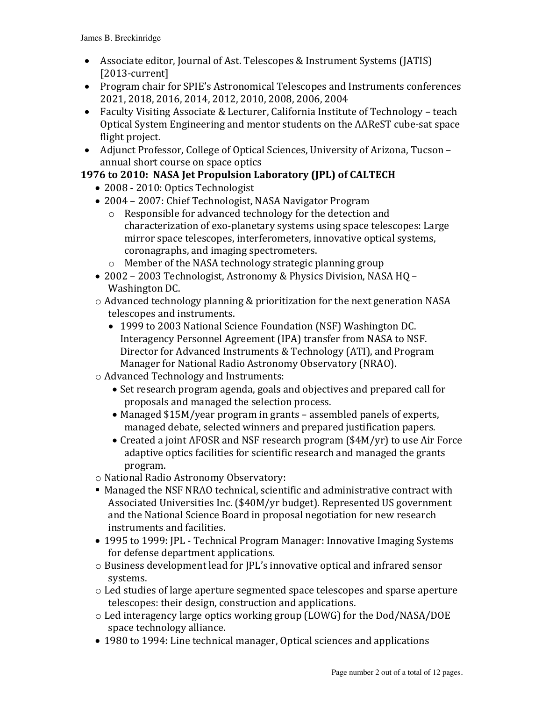- Associate editor, Journal of Ast. Telescopes & Instrument Systems (JATIS) [2013-current]
- Program chair for SPIE's Astronomical Telescopes and Instruments conferences 2021, 2018, 2016, 2014, 2012, 2010, 2008, 2006, 2004
- Faculty Visiting Associate & Lecturer, California Institute of Technology teach Optical System Engineering and mentor students on the AAReST cube-sat space flight project.
- Adjunct Professor, College of Optical Sciences, University of Arizona, Tucson annual short course on space optics

# **1976 to 2010: NASA Jet Propulsion Laboratory (JPL) of CALTECH**

- 2008 2010: Optics Technologist
- 2004 2007: Chief Technologist, NASA Navigator Program
	- $\circ$  Responsible for advanced technology for the detection and characterization of exo-planetary systems using space telescopes: Large mirror space telescopes, interferometers, innovative optical systems, coronagraphs, and imaging spectrometers.
	- $\circ$  Member of the NASA technology strategic planning group
- 2002 2003 Technologist, Astronomy & Physics Division, NASA HQ -Washington DC.
- $\circ$  Advanced technology planning & prioritization for the next generation NASA telescopes and instruments.
	- 1999 to 2003 National Science Foundation (NSF) Washington DC. Interagency Personnel Agreement (IPA) transfer from NASA to NSF. Director for Advanced Instruments & Technology (ATI), and Program Manager for National Radio Astronomy Observatory (NRAO).
- $\circ$  Advanced Technology and Instruments:
	- Set research program agenda, goals and objectives and prepared call for proposals and managed the selection process.
	- Managed \$15M/year program in grants assembled panels of experts, managed debate, selected winners and prepared justification papers.
	- Created a joint AFOSR and NSF research program (\$4M/yr) to use Air Force adaptive optics facilities for scientific research and managed the grants program.
- $\circ$  National Radio Astronomy Observatory:
- Managed the NSF NRAO technical, scientific and administrative contract with Associated Universities Inc. (\$40M/yr budget). Represented US government and the National Science Board in proposal negotiation for new research instruments and facilities.
- 1995 to 1999: JPL Technical Program Manager: Innovative Imaging Systems for defense department applications.
- $\circ$  Business development lead for JPL's innovative optical and infrared sensor systems.
- $\circ$  Led studies of large aperture segmented space telescopes and sparse aperture telescopes: their design, construction and applications.
- $\circ$  Led interagency large optics working group (LOWG) for the Dod/NASA/DOE space technology alliance.
- 1980 to 1994: Line technical manager, Optical sciences and applications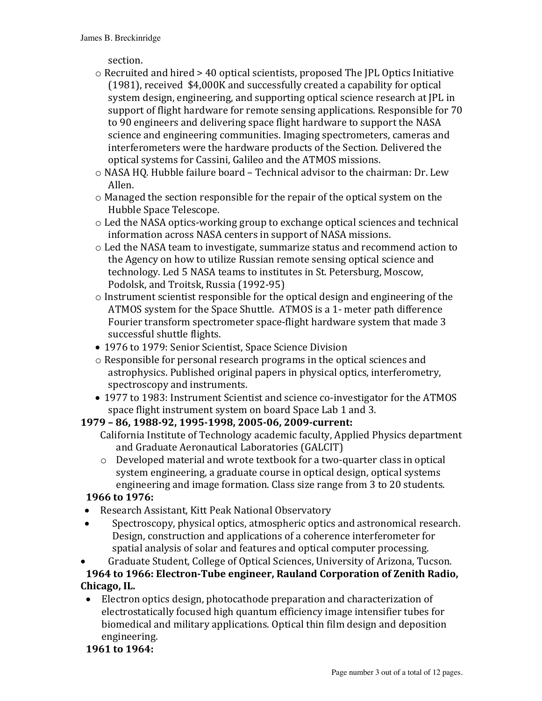section.

- $\circ$  Recruited and hired > 40 optical scientists, proposed The JPL Optics Initiative  $(1981)$ , received \$4,000K and successfully created a capability for optical system design, engineering, and supporting optical science research at JPL in support of flight hardware for remote sensing applications. Responsible for 70 to 90 engineers and delivering space flight hardware to support the NASA science and engineering communities. Imaging spectrometers, cameras and interferometers were the hardware products of the Section. Delivered the optical systems for Cassini, Galileo and the ATMOS missions.
- o NASA HQ. Hubble failure board Technical advisor to the chairman: Dr. Lew Allen.
- $\circ$  Managed the section responsible for the repair of the optical system on the Hubble Space Telescope.
- $\circ$  Led the NASA optics-working group to exchange optical sciences and technical information across NASA centers in support of NASA missions.
- $\circ$  Led the NASA team to investigate, summarize status and recommend action to the Agency on how to utilize Russian remote sensing optical science and technology. Led 5 NASA teams to institutes in St. Petersburg, Moscow, Podolsk, and Troitsk, Russia (1992-95)
- $\circ$  Instrument scientist responsible for the optical design and engineering of the ATMOS system for the Space Shuttle. ATMOS is a 1- meter path difference Fourier transform spectrometer space-flight hardware system that made 3 successful shuttle flights.
- 1976 to 1979: Senior Scientist, Space Science Division
- $\circ$  Responsible for personal research programs in the optical sciences and astrophysics. Published original papers in physical optics, interferometry, spectroscopy and instruments.
- 1977 to 1983: Instrument Scientist and science co-investigator for the ATMOS space flight instrument system on board Space Lab 1 and 3.

# **1979 – 86, 1988-92, 1995-1998, 2005-06, 2009-current:**

- California Institute of Technology academic faculty, Applied Physics department and Graduate Aeronautical Laboratories (GALCIT)
- $\circ$  Developed material and wrote textbook for a two-quarter class in optical system engineering, a graduate course in optical design, optical systems engineering and image formation. Class size range from 3 to 20 students.

## **1966** to 1976:

- Research Assistant, Kitt Peak National Observatory
- Spectroscopy, physical optics, atmospheric optics and astronomical research. Design, construction and applications of a coherence interferometer for spatial analysis of solar and features and optical computer processing.

Graduate Student, College of Optical Sciences, University of Arizona, Tucson. **1964 to 1966: Electron-Tube engineer, Rauland Corporation of Zenith Radio, Chicago, IL.** 

• Electron optics design, photocathode preparation and characterization of electrostatically focused high quantum efficiency image intensifier tubes for biomedical and military applications. Optical thin film design and deposition engineering.

## **1961** to 1964: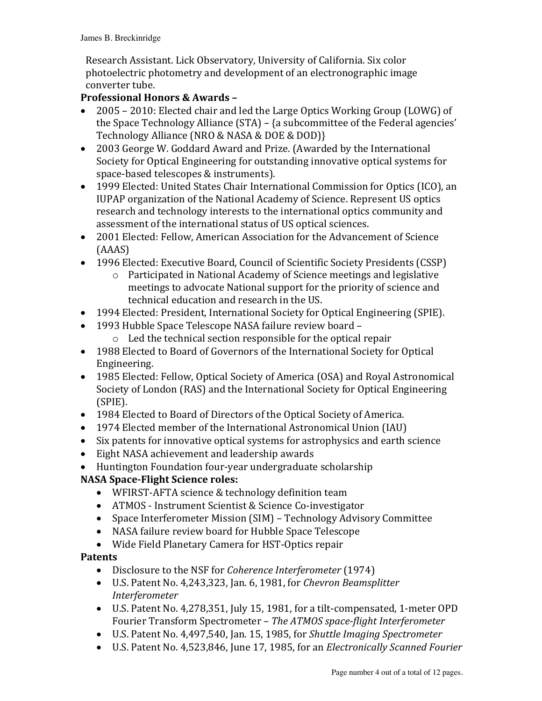Research Assistant. Lick Observatory, University of California. Six color photoelectric photometry and development of an electronographic image converter tube.

### **Professional Honors & Awards -**

- 2005 2010: Elected chair and led the Large Optics Working Group (LOWG) of the Space Technology Alliance  $(STA)$  – {a subcommittee of the Federal agencies' Technology Alliance (NRO & NASA & DOE & DOD)}
- 2003 George W. Goddard Award and Prize. (Awarded by the International Society for Optical Engineering for outstanding innovative optical systems for space-based telescopes & instruments).
- 1999 Elected: United States Chair International Commission for Optics (ICO), an IUPAP organization of the National Academy of Science. Represent US optics research and technology interests to the international optics community and assessment of the international status of US optical sciences.
- 2001 Elected: Fellow, American Association for the Advancement of Science (AAAS)
- 1996 Elected: Executive Board, Council of Scientific Society Presidents (CSSP)
	- $\circ$  Participated in National Academy of Science meetings and legislative meetings to advocate National support for the priority of science and technical education and research in the US.
- 1994 Elected: President, International Society for Optical Engineering (SPIE).
- 1993 Hubble Space Telescope NASA failure review board -
	- $\circ$  Led the technical section responsible for the optical repair
- 1988 Elected to Board of Governors of the International Society for Optical Engineering.
- 1985 Elected: Fellow, Optical Society of America (OSA) and Royal Astronomical Society of London (RAS) and the International Society for Optical Engineering (SPIE).
- 1984 Elected to Board of Directors of the Optical Society of America.
- 1974 Elected member of the International Astronomical Union (IAU)
- Six patents for innovative optical systems for astrophysics and earth science
- Eight NASA achievement and leadership awards
- Huntington Foundation four-year undergraduate scholarship

## **NASA Space-Flight Science roles:**

- WFIRST-AFTA science & technology definition team
- ATMOS Instrument Scientist & Science Co-investigator
- Space Interferometer Mission (SIM) Technology Advisory Committee
- NASA failure review board for Hubble Space Telescope
- Wide Field Planetary Camera for HST-Optics repair

## **Patents**

- Disclosure to the NSF for *Coherence Interferometer* (1974)
- U.S. Patent No. 4,243,323, Jan. 6, 1981, for *Chevron Beamsplitter Interferometer*
- U.S. Patent No. 4,278,351, July 15, 1981, for a tilt-compensated, 1-meter OPD Fourier Transform Spectrometer - The ATMOS space-flight Interferometer
- U.S. Patent No. 4,497,540, Jan. 15, 1985, for *Shuttle Imaging Spectrometer*
- U.S. Patent No. 4,523,846, June 17, 1985, for an *Electronically Scanned Fourier*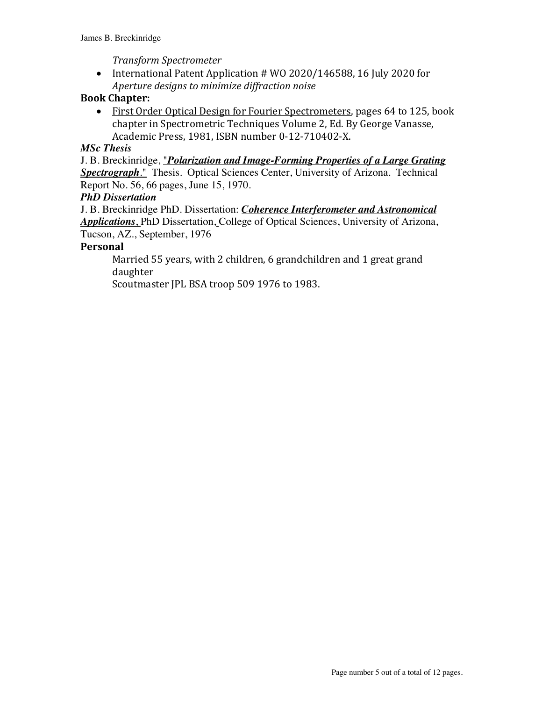#### *Transform Spectrometer*

• International Patent Application # WO 2020/146588, 16 July 2020 for *Aperture designs to minimize diffraction noise*

### **Book Chapter:**

• First Order Optical Design for Fourier Spectrometers, pages 64 to 125, book chapter in Spectrometric Techniques Volume 2, Ed. By George Vanasse, Academic Press, 1981, ISBN number 0-12-710402-X.

#### *MSc Thesis*

J. B. Breckinridge, "*Polarization and Image-Forming Properties of a Large Grating Spectrograph*." Thesis. Optical Sciences Center, University of Arizona. Technical Report No. 56, 66 pages, June 15, 1970.

#### *PhD Dissertation*

J. B. Breckinridge PhD. Dissertation: *Coherence Interferometer and Astronomical Applications*, PhD Dissertation, College of Optical Sciences, University of Arizona, Tucson, AZ., September, 1976

#### **Personal**

Married 55 years, with 2 children, 6 grandchildren and 1 great grand daughter 

Scoutmaster JPL BSA troop 509 1976 to 1983.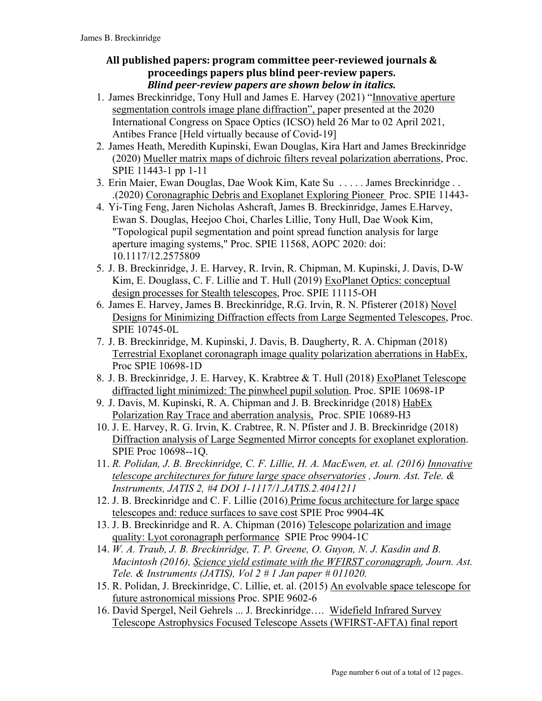### All published papers: program committee peer-reviewed journals & **proceedings papers plus blind peer-review papers.** *Blind peer-review papers are shown below in italics.*

- 1. James Breckinridge, Tony Hull and James E. Harvey (2021) "Innovative aperture segmentation controls image plane diffraction", paper presented at the 2020 International Congress on Space Optics (ICSO) held 26 Mar to 02 April 2021, Antibes France [Held virtually because of Covid-19]
- 2. James Heath, Meredith Kupinski, Ewan Douglas, Kira Hart and James Breckinridge (2020) Mueller matrix maps of dichroic filters reveal polarization aberrations, Proc. SPIE 11443-1 pp 1-11
- 3. Erin Maier, Ewan Douglas, Dae Wook Kim, Kate Su . . . . . James Breckinridge . . .(2020) Coronagraphic Debris and Exoplanet Exploring Pioneer Proc. SPIE 11443-
- 4. Yi-Ting Feng, Jaren Nicholas Ashcraft, James B. Breckinridge, James E.Harvey, Ewan S. Douglas, Heejoo Choi, Charles Lillie, Tony Hull, Dae Wook Kim, "Topological pupil segmentation and point spread function analysis for large aperture imaging systems," Proc. SPIE 11568, AOPC 2020: doi: 10.1117/12.2575809
- 5. J. B. Breckinridge, J. E. Harvey, R. Irvin, R. Chipman, M. Kupinski, J. Davis, D-W Kim, E. Douglass, C. F. Lillie and T. Hull (2019) ExoPlanet Optics: conceptual design processes for Stealth telescopes, Proc. SPIE 11115-OH
- 6. James E. Harvey, James B. Breckinridge, R.G. Irvin, R. N. Pfisterer (2018) Novel Designs for Minimizing Diffraction effects from Large Segmented Telescopes, Proc. SPIE 10745-0L
- 7. J. B. Breckinridge, M. Kupinski, J. Davis, B. Daugherty, R. A. Chipman (2018) Terrestrial Exoplanet coronagraph image quality polarization aberrations in HabEx, Proc SPIE 10698-1D
- 8. J. B. Breckinridge, J. E. Harvey, K. Krabtree & T. Hull (2018) ExoPlanet Telescope diffracted light minimized: The pinwheel pupil solution. Proc. SPIE 10698-1P
- 9. J. Davis, M. Kupinski, R. A. Chipman and J. B. Breckinridge (2018) HabEx Polarization Ray Trace and aberration analysis, Proc. SPIE 10689-H3
- 10. J. E. Harvey, R. G. Irvin, K. Crabtree, R. N. Pfister and J. B. Breckinridge (2018) Diffraction analysis of Large Segmented Mirror concepts for exoplanet exploration. SPIE Proc 10698--1Q.
- 11. *R. Polidan, J. B. Breckinridge, C. F. Lillie, H. A. MacEwen, et. al. (2016) Innovative telescope architectures for future large space observatories , Journ. Ast. Tele. & Instruments, JATIS 2, #4 DOI 1-1117/1.JATIS.2.4041211*
- 12. J. B. Breckinridge and C. F. Lillie (2016) Prime focus architecture for large space telescopes and: reduce surfaces to save cost SPIE Proc 9904-4K
- 13. J. B. Breckinridge and R. A. Chipman (2016) Telescope polarization and image quality: Lyot coronagraph performance SPIE Proc 9904-1C
- 14. *W. A. Traub, J. B. Breckinridge, T. P. Greene, O. Guyon, N. J. Kasdin and B. Macintosh (2016), Science yield estimate with the WFIRST coronagraph, Journ. Ast. Tele. & Instruments (JATIS), Vol 2 # 1 Jan paper # 011020.*
- 15. R. Polidan, J. Breckinridge, C. Lillie, et. al. (2015) An evolvable space telescope for future astronomical missions Proc. SPIE 9602-6
- 16. David Spergel, Neil Gehrels ... J. Breckinridge…. Widefield Infrared Survey Telescope Astrophysics Focused Telescope Assets (WFIRST-AFTA) final report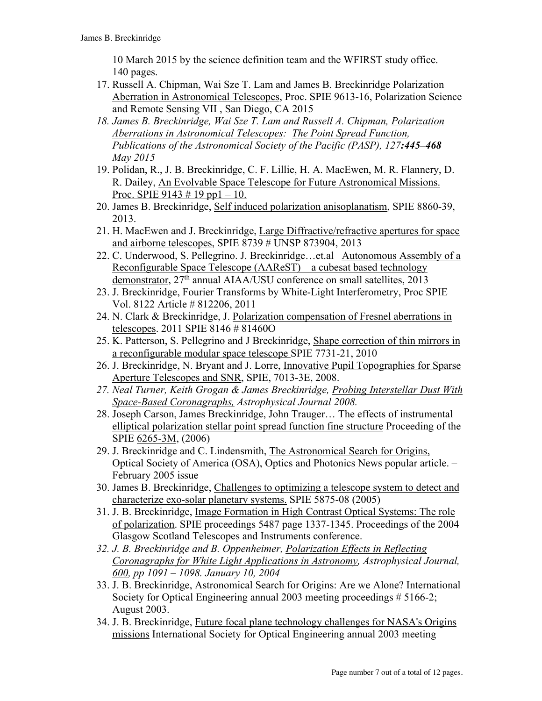10 March 2015 by the science definition team and the WFIRST study office. 140 pages.

- 17. Russell A. Chipman, Wai Sze T. Lam and James B. Breckinridge Polarization Aberration in Astronomical Telescopes, Proc. SPIE 9613-16, Polarization Science and Remote Sensing VII , San Diego, CA 2015
- *18. James B. Breckinridge, Wai Sze T. Lam and Russell A. Chipman, Polarization Aberrations in Astronomical Telescopes: The Point Spread Function, Publications of the Astronomical Society of the Pacific (PASP), 127:445–468 May 2015*
- 19. Polidan, R., J. B. Breckinridge, C. F. Lillie, H. A. MacEwen, M. R. Flannery, D. R. Dailey, An Evolvable Space Telescope for Future Astronomical Missions. Proc. SPIE 9143  $\#$  19 pp1 – 10.
- 20. James B. Breckinridge, Self induced polarization anisoplanatism, SPIE 8860-39, 2013.
- 21. H. MacEwen and J. Breckinridge, Large Diffractive/refractive apertures for space and airborne telescopes, SPIE 8739 # UNSP 873904, 2013
- 22. C. Underwood, S. Pellegrino. J. Breckinridge…et.al Autonomous Assembly of a Reconfigurable Space Telescope (AAReST) – a cubesat based technology demonstrator, 27<sup>th</sup> annual AIAA/USU conference on small satellites, 2013
- 23. J. Breckinridge, Fourier Transforms by White-Light Interferometry, Proc SPIE Vol. 8122 Article # 812206, 2011
- 24. N. Clark & Breckinridge, J. Polarization compensation of Fresnel aberrations in telescopes. 2011 SPIE 8146 # 81460O
- 25. K. Patterson, S. Pellegrino and J Breckinridge, Shape correction of thin mirrors in a reconfigurable modular space telescope SPIE 7731-21, 2010
- 26. J. Breckinridge, N. Bryant and J. Lorre, Innovative Pupil Topographies for Sparse Aperture Telescopes and SNR, SPIE, 7013-3E, 2008.
- *27. Neal Turner, Keith Grogan & James Breckinridge, Probing Interstellar Dust With Space-Based Coronagraphs, Astrophysical Journal 2008.*
- 28. Joseph Carson, James Breckinridge, John Trauger… The effects of instrumental elliptical polarization stellar point spread function fine structure Proceeding of the SPIE 6265-3M, (2006)
- 29. J. Breckinridge and C. Lindensmith, The Astronomical Search for Origins, Optical Society of America (OSA), Optics and Photonics News popular article. – February 2005 issue
- 30. James B. Breckinridge, Challenges to optimizing a telescope system to detect and characterize exo-solar planetary systems. SPIE 5875-08 (2005)
- 31. J. B. Breckinridge, Image Formation in High Contrast Optical Systems: The role of polarization. SPIE proceedings 5487 page 1337-1345. Proceedings of the 2004 Glasgow Scotland Telescopes and Instruments conference.
- *32. J. B. Breckinridge and B. Oppenheimer, Polarization Effects in Reflecting Coronagraphs for White Light Applications in Astronomy, Astrophysical Journal, 600, pp 1091 – 1098. January 10, 2004*
- 33. J. B. Breckinridge, Astronomical Search for Origins: Are we Alone? International Society for Optical Engineering annual 2003 meeting proceedings # 5166-2; August 2003.
- 34. J. B. Breckinridge, Future focal plane technology challenges for NASA's Origins missions International Society for Optical Engineering annual 2003 meeting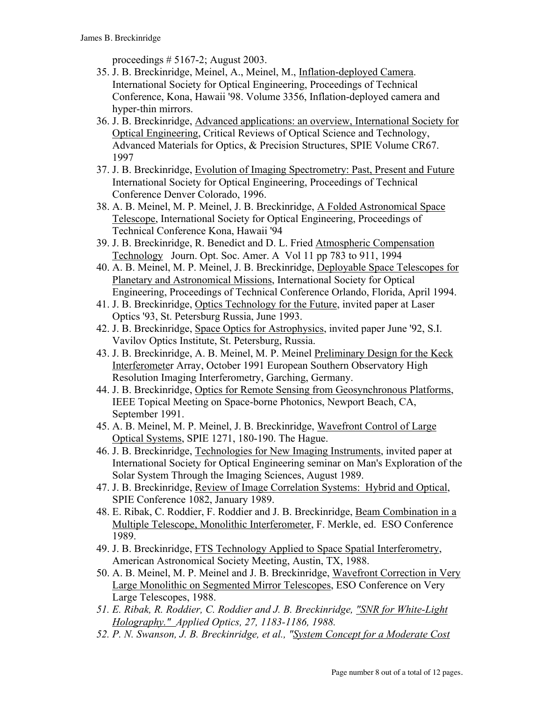proceedings  $\# 5167-2$ ; August 2003.

- 35. J. B. Breckinridge, Meinel, A., Meinel, M., Inflation-deployed Camera. International Society for Optical Engineering, Proceedings of Technical Conference, Kona, Hawaii '98. Volume 3356, Inflation-deployed camera and hyper-thin mirrors.
- 36. J. B. Breckinridge, Advanced applications: an overview, International Society for Optical Engineering, Critical Reviews of Optical Science and Technology, Advanced Materials for Optics, & Precision Structures, SPIE Volume CR67. 1997
- 37. J. B. Breckinridge, Evolution of Imaging Spectrometry: Past, Present and Future International Society for Optical Engineering, Proceedings of Technical Conference Denver Colorado, 1996.
- 38. A. B. Meinel, M. P. Meinel, J. B. Breckinridge, A Folded Astronomical Space Telescope, International Society for Optical Engineering, Proceedings of Technical Conference Kona, Hawaii '94
- 39. J. B. Breckinridge, R. Benedict and D. L. Fried Atmospheric Compensation Technology Journ. Opt. Soc. Amer. A Vol 11 pp 783 to 911, 1994
- 40. A. B. Meinel, M. P. Meinel, J. B. Breckinridge, Deployable Space Telescopes for Planetary and Astronomical Missions, International Society for Optical Engineering, Proceedings of Technical Conference Orlando, Florida, April 1994.
- 41. J. B. Breckinridge, Optics Technology for the Future, invited paper at Laser Optics '93, St. Petersburg Russia, June 1993.
- 42. J. B. Breckinridge, Space Optics for Astrophysics, invited paper June '92, S.I. Vavilov Optics Institute, St. Petersburg, Russia.
- 43. J. B. Breckinridge, A. B. Meinel, M. P. Meinel Preliminary Design for the Keck Interferometer Array, October 1991 European Southern Observatory High Resolution Imaging Interferometry, Garching, Germany.
- 44. J. B. Breckinridge, Optics for Remote Sensing from Geosynchronous Platforms, IEEE Topical Meeting on Space-borne Photonics, Newport Beach, CA, September 1991.
- 45. A. B. Meinel, M. P. Meinel, J. B. Breckinridge, Wavefront Control of Large Optical Systems, SPIE 1271, 180-190. The Hague.
- 46. J. B. Breckinridge, Technologies for New Imaging Instruments, invited paper at International Society for Optical Engineering seminar on Man's Exploration of the Solar System Through the Imaging Sciences, August 1989.
- 47. J. B. Breckinridge, Review of Image Correlation Systems: Hybrid and Optical, SPIE Conference 1082, January 1989.
- 48. E. Ribak, C. Roddier, F. Roddier and J. B. Breckinridge, Beam Combination in a Multiple Telescope, Monolithic Interferometer, F. Merkle, ed. ESO Conference 1989.
- 49. J. B. Breckinridge, FTS Technology Applied to Space Spatial Interferometry, American Astronomical Society Meeting, Austin, TX, 1988.
- 50. A. B. Meinel, M. P. Meinel and J. B. Breckinridge, Wavefront Correction in Very Large Monolithic on Segmented Mirror Telescopes, ESO Conference on Very Large Telescopes, 1988.
- *51. E. Ribak, R. Roddier, C. Roddier and J. B. Breckinridge, "SNR for White-Light Holography." Applied Optics, 27, 1183-1186, 1988.*
- *52. P. N. Swanson, J. B. Breckinridge, et al., "System Concept for a Moderate Cost*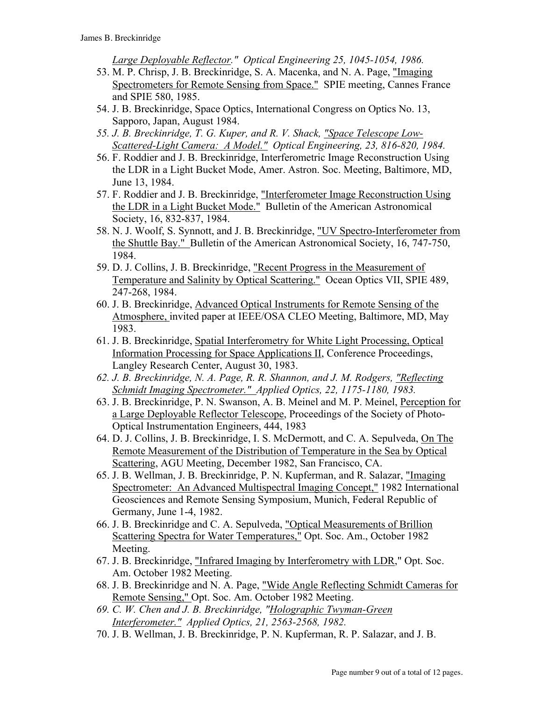*Large Deployable Reflector." Optical Engineering 25, 1045-1054, 1986.*

- 53. M. P. Chrisp, J. B. Breckinridge, S. A. Macenka, and N. A. Page, "Imaging Spectrometers for Remote Sensing from Space." SPIE meeting, Cannes France and SPIE 580, 1985.
- 54. J. B. Breckinridge, Space Optics, International Congress on Optics No. 13, Sapporo, Japan, August 1984.
- *55. J. B. Breckinridge, T. G. Kuper, and R. V. Shack, "Space Telescope Low-Scattered-Light Camera: A Model." Optical Engineering, 23, 816-820, 1984.*
- 56. F. Roddier and J. B. Breckinridge, Interferometric Image Reconstruction Using the LDR in a Light Bucket Mode, Amer. Astron. Soc. Meeting, Baltimore, MD, June 13, 1984.
- 57. F. Roddier and J. B. Breckinridge, "Interferometer Image Reconstruction Using the LDR in a Light Bucket Mode." Bulletin of the American Astronomical Society, 16, 832-837, 1984.
- 58. N. J. Woolf, S. Synnott, and J. B. Breckinridge, "UV Spectro-Interferometer from the Shuttle Bay." Bulletin of the American Astronomical Society, 16, 747-750, 1984.
- 59. D. J. Collins, J. B. Breckinridge, "Recent Progress in the Measurement of Temperature and Salinity by Optical Scattering." Ocean Optics VII, SPIE 489, 247-268, 1984.
- 60. J. B. Breckinridge, Advanced Optical Instruments for Remote Sensing of the Atmosphere, invited paper at IEEE/OSA CLEO Meeting, Baltimore, MD, May 1983.
- 61. J. B. Breckinridge, Spatial Interferometry for White Light Processing, Optical Information Processing for Space Applications II, Conference Proceedings, Langley Research Center, August 30, 1983.
- *62. J. B. Breckinridge, N. A. Page, R. R. Shannon, and J. M. Rodgers, "Reflecting Schmidt Imaging Spectrometer." Applied Optics, 22, 1175-1180, 1983.*
- 63. J. B. Breckinridge, P. N. Swanson, A. B. Meinel and M. P. Meinel, Perception for a Large Deployable Reflector Telescope, Proceedings of the Society of Photo-Optical Instrumentation Engineers, 444, 1983
- 64. D. J. Collins, J. B. Breckinridge, I. S. McDermott, and C. A. Sepulveda, On The Remote Measurement of the Distribution of Temperature in the Sea by Optical Scattering, AGU Meeting, December 1982, San Francisco, CA.
- 65. J. B. Wellman, J. B. Breckinridge, P. N. Kupferman, and R. Salazar, "Imaging Spectrometer: An Advanced Multispectral Imaging Concept," 1982 International Geosciences and Remote Sensing Symposium, Munich, Federal Republic of Germany, June 1-4, 1982.
- 66. J. B. Breckinridge and C. A. Sepulveda, "Optical Measurements of Brillion Scattering Spectra for Water Temperatures," Opt. Soc. Am., October 1982 Meeting.
- 67. J. B. Breckinridge, "Infrared Imaging by Interferometry with LDR," Opt. Soc. Am. October 1982 Meeting.
- 68. J. B. Breckinridge and N. A. Page, "Wide Angle Reflecting Schmidt Cameras for Remote Sensing," Opt. Soc. Am. October 1982 Meeting.
- *69. C. W. Chen and J. B. Breckinridge, "Holographic Twyman-Green Interferometer." Applied Optics, 21, 2563-2568, 1982.*
- 70. J. B. Wellman, J. B. Breckinridge, P. N. Kupferman, R. P. Salazar, and J. B.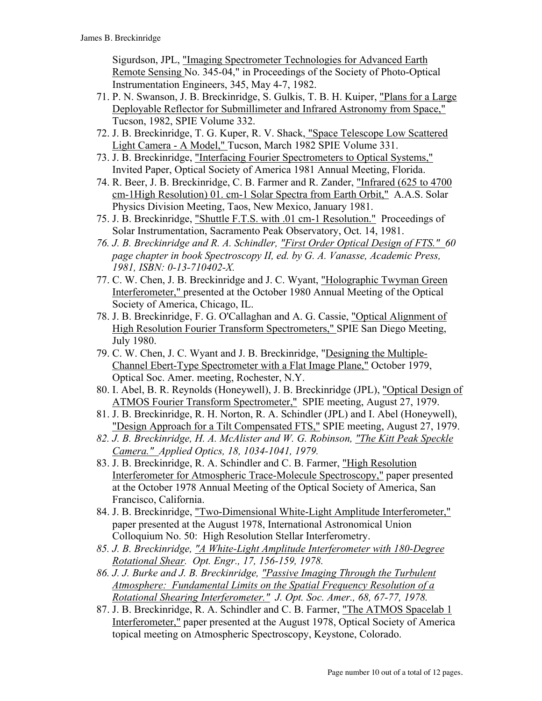Sigurdson, JPL, "Imaging Spectrometer Technologies for Advanced Earth Remote Sensing No. 345-04," in Proceedings of the Society of Photo-Optical Instrumentation Engineers, 345, May 4-7, 1982.

- 71. P. N. Swanson, J. B. Breckinridge, S. Gulkis, T. B. H. Kuiper, "Plans for a Large Deployable Reflector for Submillimeter and Infrared Astronomy from Space," Tucson, 1982, SPIE Volume 332.
- 72. J. B. Breckinridge, T. G. Kuper, R. V. Shack, "Space Telescope Low Scattered Light Camera - A Model," Tucson, March 1982 SPIE Volume 331.
- 73. J. B. Breckinridge, "Interfacing Fourier Spectrometers to Optical Systems," Invited Paper, Optical Society of America 1981 Annual Meeting, Florida.
- 74. R. Beer, J. B. Breckinridge, C. B. Farmer and R. Zander, "Infrared (625 to 4700 cm-1High Resolution) 01. cm-1 Solar Spectra from Earth Orbit," A.A.S. Solar Physics Division Meeting, Taos, New Mexico, January 1981.
- 75. J. B. Breckinridge, "Shuttle F.T.S. with .01 cm-1 Resolution." Proceedings of Solar Instrumentation, Sacramento Peak Observatory, Oct. 14, 1981.
- *76. J. B. Breckinridge and R. A. Schindler, "First Order Optical Design of FTS." 60 page chapter in book Spectroscopy II, ed. by G. A. Vanasse, Academic Press, 1981, ISBN: 0-13-710402-X.*
- 77. C. W. Chen, J. B. Breckinridge and J. C. Wyant, "Holographic Twyman Green Interferometer," presented at the October 1980 Annual Meeting of the Optical Society of America, Chicago, IL.
- 78. J. B. Breckinridge, F. G. O'Callaghan and A. G. Cassie, "Optical Alignment of High Resolution Fourier Transform Spectrometers," SPIE San Diego Meeting, July 1980.
- 79. C. W. Chen, J. C. Wyant and J. B. Breckinridge, "Designing the Multiple-Channel Ebert-Type Spectrometer with a Flat Image Plane," October 1979, Optical Soc. Amer. meeting, Rochester, N.Y.
- 80. I. Abel, B. R. Reynolds (Honeywell), J. B. Breckinridge (JPL), "Optical Design of ATMOS Fourier Transform Spectrometer," SPIE meeting, August 27, 1979.
- 81. J. B. Breckinridge, R. H. Norton, R. A. Schindler (JPL) and I. Abel (Honeywell), "Design Approach for a Tilt Compensated FTS," SPIE meeting, August 27, 1979.
- *82. J. B. Breckinridge, H. A. McAlister and W. G. Robinson, "The Kitt Peak Speckle Camera." Applied Optics, 18, 1034-1041, 1979.*
- 83. J. B. Breckinridge, R. A. Schindler and C. B. Farmer, "High Resolution Interferometer for Atmospheric Trace-Molecule Spectroscopy," paper presented at the October 1978 Annual Meeting of the Optical Society of America, San Francisco, California.
- 84. J. B. Breckinridge, "Two-Dimensional White-Light Amplitude Interferometer," paper presented at the August 1978, International Astronomical Union Colloquium No. 50: High Resolution Stellar Interferometry.
- *85. J. B. Breckinridge, "A White-Light Amplitude Interferometer with 180-Degree Rotational Shear. Opt. Engr., 17, 156-159, 1978.*
- *86. J. J. Burke and J. B. Breckinridge, "Passive Imaging Through the Turbulent Atmosphere: Fundamental Limits on the Spatial Frequency Resolution of a Rotational Shearing Interferometer." J. Opt. Soc. Amer., 68, 67-77, 1978.*
- 87. J. B. Breckinridge, R. A. Schindler and C. B. Farmer, "The ATMOS Spacelab 1 Interferometer," paper presented at the August 1978, Optical Society of America topical meeting on Atmospheric Spectroscopy, Keystone, Colorado.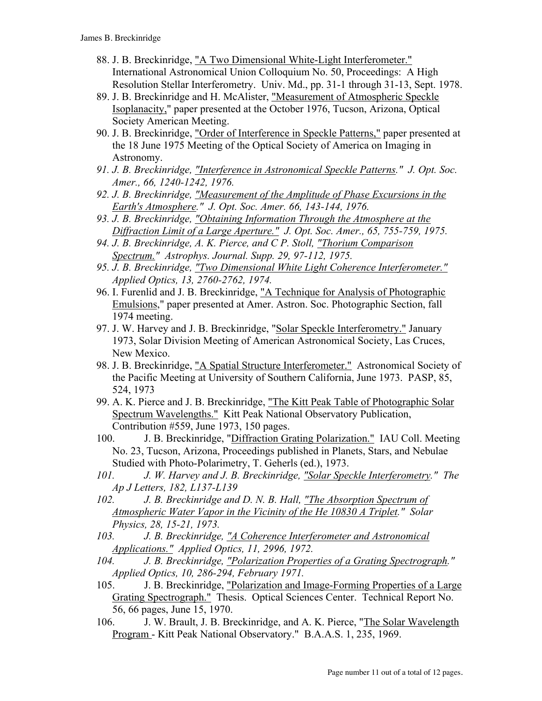- 88. J. B. Breckinridge, "A Two Dimensional White-Light Interferometer." International Astronomical Union Colloquium No. 50, Proceedings: A High Resolution Stellar Interferometry. Univ. Md., pp. 31-1 through 31-13, Sept. 1978.
- 89. J. B. Breckinridge and H. McAlister, "Measurement of Atmospheric Speckle Isoplanacity," paper presented at the October 1976, Tucson, Arizona, Optical Society American Meeting.
- 90. J. B. Breckinridge, "Order of Interference in Speckle Patterns," paper presented at the 18 June 1975 Meeting of the Optical Society of America on Imaging in Astronomy.
- *91. J. B. Breckinridge, "Interference in Astronomical Speckle Patterns." J. Opt. Soc. Amer., 66, 1240-1242, 1976.*
- *92. J. B. Breckinridge, "Measurement of the Amplitude of Phase Excursions in the Earth's Atmosphere." J. Opt. Soc. Amer. 66, 143-144, 1976.*
- *93. J. B. Breckinridge, "Obtaining Information Through the Atmosphere at the Diffraction Limit of a Large Aperture." J. Opt. Soc. Amer., 65, 755-759, 1975.*
- *94. J. B. Breckinridge, A. K. Pierce, and C P. Stoll, "Thorium Comparison Spectrum." Astrophys. Journal. Supp. 29, 97-112, 1975.*
- *95. J. B. Breckinridge, "Two Dimensional White Light Coherence Interferometer." Applied Optics, 13, 2760-2762, 1974.*
- 96. I. Furenlid and J. B. Breckinridge, "A Technique for Analysis of Photographic Emulsions," paper presented at Amer. Astron. Soc. Photographic Section, fall 1974 meeting.
- 97. J. W. Harvey and J. B. Breckinridge, "Solar Speckle Interferometry." January 1973, Solar Division Meeting of American Astronomical Society, Las Cruces, New Mexico.
- 98. J. B. Breckinridge, "A Spatial Structure Interferometer." Astronomical Society of the Pacific Meeting at University of Southern California, June 1973. PASP, 85, 524, 1973
- 99. A. K. Pierce and J. B. Breckinridge, "The Kitt Peak Table of Photographic Solar Spectrum Wavelengths." Kitt Peak National Observatory Publication, Contribution #559, June 1973, 150 pages.
- 100. J. B. Breckinridge, "Diffraction Grating Polarization." IAU Coll. Meeting No. 23, Tucson, Arizona, Proceedings published in Planets, Stars, and Nebulae Studied with Photo-Polarimetry, T. Geherls (ed.), 1973.
- *101. J. W. Harvey and J. B. Breckinridge, "Solar Speckle Interferometry." The Ap J Letters, 182, L137-L139*
- *102. J. B. Breckinridge and D. N. B. Hall, "The Absorption Spectrum of Atmospheric Water Vapor in the Vicinity of the He 10830 A Triplet." Solar Physics, 28, 15-21, 1973.*
- *103. J. B. Breckinridge, "A Coherence Interferometer and Astronomical Applications." Applied Optics, 11, 2996, 1972.*
- *104. J. B. Breckinridge, "Polarization Properties of a Grating Spectrograph." Applied Optics, 10, 286-294, February 1971.*
- 105. J. B. Breckinridge, "Polarization and Image-Forming Properties of a Large Grating Spectrograph." Thesis. Optical Sciences Center. Technical Report No. 56, 66 pages, June 15, 1970.
- 106. J. W. Brault, J. B. Breckinridge, and A. K. Pierce, "The Solar Wavelength Program - Kitt Peak National Observatory." B.A.A.S. 1, 235, 1969.